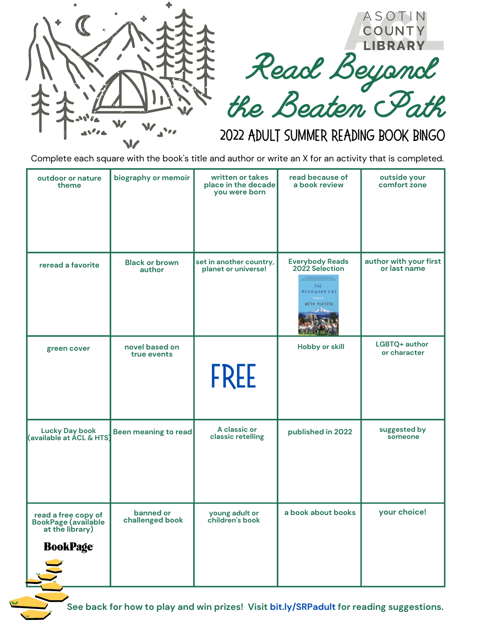



## 2022 Adult Summer Reading Book Bingo

Complete each square with the book's title and author or write an X for an activity that is completed.

| outdoor or nature<br>theme                                                       | biography or memoir             | written or takes<br>place in the decade<br>you were born | read because of<br>a book review                                                                 | outside your<br>comfort zone           |
|----------------------------------------------------------------------------------|---------------------------------|----------------------------------------------------------|--------------------------------------------------------------------------------------------------|----------------------------------------|
| reread a favorite                                                                | <b>Black or brown</b><br>author | set in another country,<br>planet or universe!           | <b>Everybody Reads</b><br>2022 Selection<br>THE<br><b>BEADWORKERS</b><br>Francis<br>BETH PIATOTE | author with your first<br>or last name |
| green cover                                                                      | novel based on<br>true events   | <b>FREE</b>                                              | <b>Hobby or skill</b>                                                                            | LGBTQ+ author<br>or character          |
| Lucky Day book<br>(available at ACL & HTS)                                       | Been meaning to read            | A classic or<br>classic retelling                        | published in 2022                                                                                | suggested by<br>someone                |
| read a free copy of<br>BookPage (available<br>at the library)<br><b>BookPage</b> | banned or<br>challenged book    | young adult or<br>children's book                        | a book about books                                                                               | your choice!                           |

**See back for how to play and win prizes! Visit [bit.ly/SRPadult](https://bit.ly/SRPadult) for reading suggestions.**